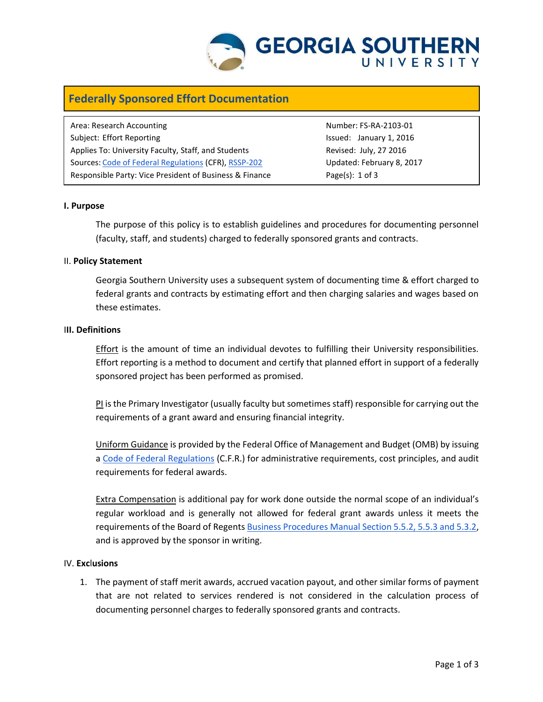

# **Federally Sponsored Effort Documentation**

Area: Research Accounting Number: FS-RA-2103-01 Subject: Effort Reporting The Issued: January 1, 2016 Applies To: University Faculty, Staff, and Students **Revised: Revised: July, 27 2016** Sources: Code of Federal Regulations (CFR), [RSSP-202](http://digitalcommons.georgiasouthern.edu/oraec/) Updated: February 8, 2017 Responsible Party: Vice President of Business & Finance Page(s): 1 of 3

## **I. Purpose**

The purpose of this policy is to establish guidelines and procedures for documenting personnel (faculty, staff, and students) charged to federally sponsored grants and contracts.

## II. **Policy Statement**

Georgia Southern University uses a subsequent system of documenting time & effort charged to federal grants and contracts by estimating effort and then charging salaries and wages based on these estimates.

#### I**II. Definitions**

Effort is the amount of time an individual devotes to fulfilling their University responsibilities. Effort reporting is a method to document and certify that planned effort in support of a federally sponsored project has been performed as promised.

PI is the Primary Investigator (usually faculty but sometimes staff) responsible for carrying out the requirements of a grant award and ensuring financial integrity.

Uniform Guidance is provided by the Federal Office of Management and Budget (OMB) by issuing a [Code of Federal Regulations](http://www.gpo.gov/fdsys/browse/collectionCfr.action?collectionCode=CFR) (C.F.R.) for administrative requirements, cost principles, and audit requirements for federal awards.

Extra Compensation is additional pay for work done outside the normal scope of an individual's regular workload and is generally not allowed for federal grant awards unless it meets the requirements of the Board of Regent[s Business Procedures Manual Section 5.5.2, 5.5.3 and 5.3.2,](http://www.usg.edu/business_procedures_manual/) and is approved by the sponsor in writing.

#### IV. **Exc**l**usions**

1. The payment of staff merit awards, accrued vacation payout, and other similar forms of payment that are not related to services rendered is not considered in the calculation process of documenting personnel charges to federally sponsored grants and contracts.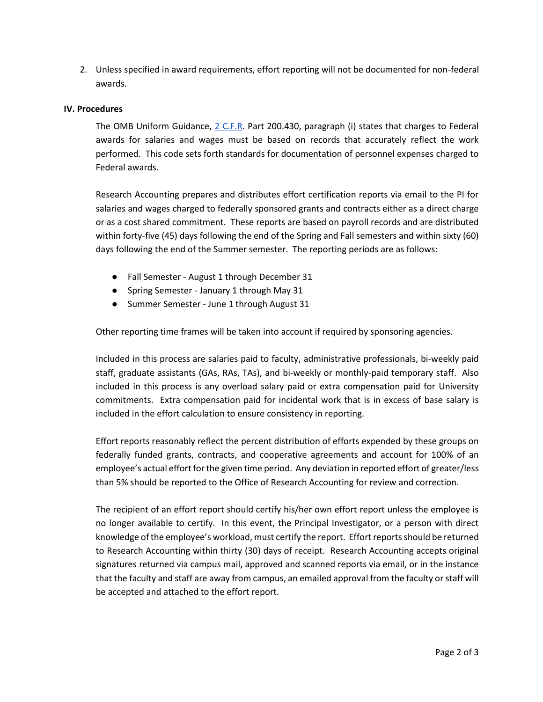2. Unless specified in award requirements, effort reporting will not be documented for non-federal awards.

## **IV. Procedures**

The OMB Uniform Guidance, [2 C.F.R.](http://www.gpo.gov/fdsys/browse/collectionCfr.action?collectionCode=CFR) Part 200.430, paragraph (i) states that charges to Federal awards for salaries and wages must be based on records that accurately reflect the work performed. This code sets forth standards for documentation of personnel expenses charged to Federal awards.

Research Accounting prepares and distributes effort certification reports via email to the PI for salaries and wages charged to federally sponsored grants and contracts either as a direct charge or as a cost shared commitment. These reports are based on payroll records and are distributed within forty-five (45) days following the end of the Spring and Fall semesters and within sixty (60) days following the end of the Summer semester. The reporting periods are as follows:

- Fall Semester August 1 through December 31
- Spring Semester January 1 through May 31
- Summer Semester June 1 through August 31

Other reporting time frames will be taken into account if required by sponsoring agencies.

Included in this process are salaries paid to faculty, administrative professionals, bi-weekly paid staff, graduate assistants (GAs, RAs, TAs), and bi-weekly or monthly-paid temporary staff. Also included in this process is any overload salary paid or extra compensation paid for University commitments. Extra compensation paid for incidental work that is in excess of base salary is included in the effort calculation to ensure consistency in reporting.

Effort reports reasonably reflect the percent distribution of efforts expended by these groups on federally funded grants, contracts, and cooperative agreements and account for 100% of an employee's actual effort for the given time period. Any deviation in reported effort of greater/less than 5% should be reported to the Office of Research Accounting for review and correction.

The recipient of an effort report should certify his/her own effort report unless the employee is no longer available to certify. In this event, the Principal Investigator, or a person with direct knowledge of the employee's workload, must certify the report. Effort reports should be returned to Research Accounting within thirty (30) days of receipt. Research Accounting accepts original signatures returned via campus mail, approved and scanned reports via email, or in the instance that the faculty and staff are away from campus, an emailed approval from the faculty or staff will be accepted and attached to the effort report.